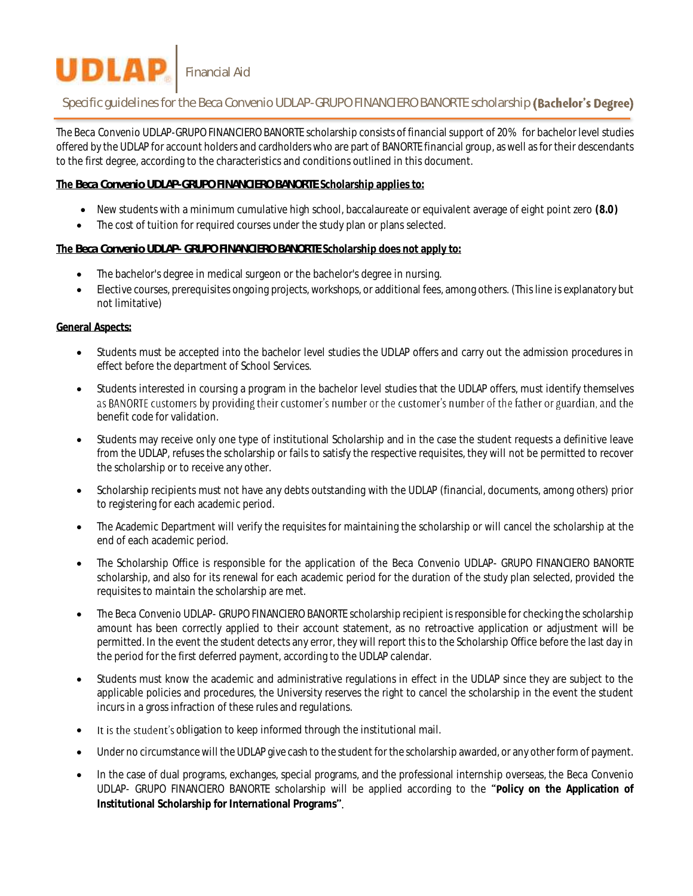# **UDLAP** Financial Aid

# Specific quidelines for the Beca Convenio UDLAP-GRUPO FINANCIERO BANORTE scholarship (Bachelor's Degree)

The *Beca Convenio UDLAP-GRUPO FINANCIERO BANORTE* scholarship consists of financial support of 20% for bachelor level studies offered by the UDLAP for account holders and cardholders who are part of BANORTE financial group, as well as for their descendants to the first degree, according to the characteristics and conditions outlined in this document.

### **The** *Beca Convenio UDLAP-GRUPO FINANCIERO BANORTE* **Scholarship applies to:**

- New students with a minimum cumulative high school, baccalaureate or equivalent average of eight point zero **(8.0)**
- The cost of tuition for required courses under the study plan or plans selected.

### **The** *Beca Convenio UDLAP- GRUPO FINANCIERO BANORTE* **Scholarship does not apply to:**

- The bachelor's degree in medical surgeon or the bachelor's degree in nursing.
- Elective courses, prerequisites ongoing projects, workshops, or additional fees, among others. (This line is explanatory but not limitative)

### **General Aspects:**

- Students must be accepted into the bachelor level studies the UDLAP offers and carry out the admission procedures in effect before the department of School Services.
- Students interested in coursing a program in the bachelor level studies that the UDLAP offers, must identify themselves as BANORTE customers by providing their customer's number or the customer's number of the father or guardian, and the benefit code for validation.
- Students may receive only one type of institutional Scholarship and in the case the student requests a definitive leave from the UDLAP, refuses the scholarship or fails to satisfy the respective requisites, they will not be permitted to recover the scholarship or to receive any other.
- Scholarship recipients must not have any debts outstanding with the UDLAP (financial, documents, among others) prior to registering for each academic period.
- The Academic Department will verify the requisites for maintaining the scholarship or will cancel the scholarship at the end of each academic period.
- The Scholarship Office is responsible for the application of the *Beca Convenio UDLAP- GRUPO FINANCIERO BANORTE*  scholarship, and also for its renewal for each academic period for the duration of the study plan selected, provided the requisites to maintain the scholarship are met.
- The *Beca Convenio UDLAP- GRUPO FINANCIERO BANORTE* scholarship recipient is responsible for checking the scholarship amount has been correctly applied to their account statement, as no retroactive application or adjustment will be permitted. In the event the student detects any error, they will report this to the Scholarship Office before the last day in the period for the first deferred payment, according to the UDLAP calendar.
- Students must know the academic and administrative regulations in effect in the UDLAP since they are subject to the applicable policies and procedures, the University reserves the right to cancel the scholarship in the event the student incurs in a gross infraction of these rules and regulations.
- It is the student's obligation to keep informed through the institutional mail.
- Under no circumstance will the UDLAP give cash to the student for the scholarship awarded, or any other form of payment.
- In the case of dual programs, exchanges, special programs, and the professional internship overseas, the *Beca Convenio UDLAP- GRUPO FINANCIERO BANORTE* scholarship will be applied according to the **olicy on the Application of Institutional Scholarship for International Programs**